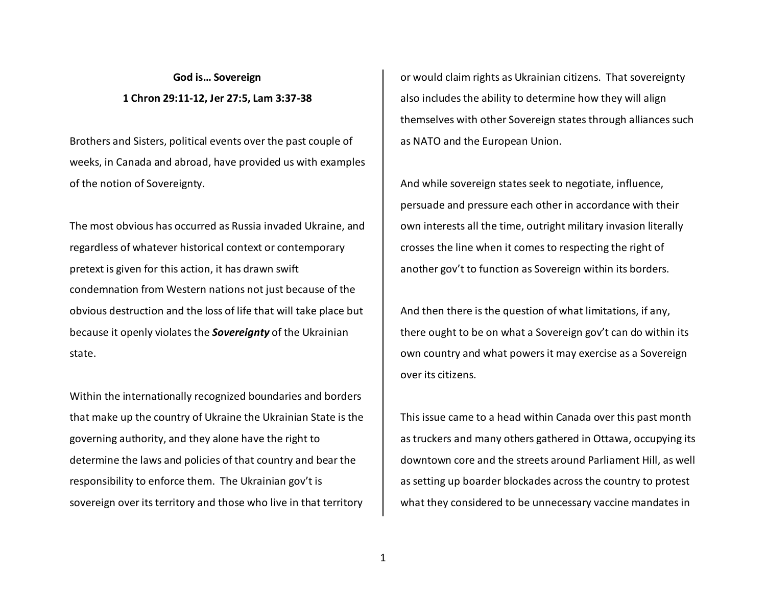**God is… Sovereign 1 Chron 29:11-12, Jer 27:5, Lam 3:37-38** 

Brothers and Sisters, political events over the past couple of weeks, in Canada and abroad, have provided us with examples of the notion of Sovereignty.

The most obvious has occurred as Russia invaded Ukraine, and regardless of whatever historical context or contemporary pretext is given for this action, it has drawn swiftcondemnation from Western nations not just because of the obvious destruction and the loss of life that will take place but because it openly violates the *Sovereignty* of the Ukrainian state.

Within the internationally recognized boundaries and borders that make up the country of Ukraine the Ukrainian State is the governing authority, and they alone have the right to determine the laws and policies of that country and bear the responsibility to enforce them. The Ukrainian gov't is sovereign over its territory and those who live in that territory

or would claim rights as Ukrainian citizens. That sovereignty also includes the ability to determine how they will align themselves with other Sovereign states through alliances such as NATO and the European Union.

And while sovereign states seek to negotiate, influence, persuade and pressure each other in accordance with their own interests all the time, outright military invasion literally crosses the line when it comes to respecting the right of another gov't to function as Sovereign within its borders.

And then there is the question of what limitations, if any, there ought to be on what a Sovereign gov't can do within its own country and what powers it may exercise as a Sovereign over its citizens.

This issue came to a head within Canada over this past month as truckers and many others gathered in Ottawa, occupying its downtown core and the streets around Parliament Hill, as well as setting up boarder blockades across the country to protest what they considered to be unnecessary vaccine mandates in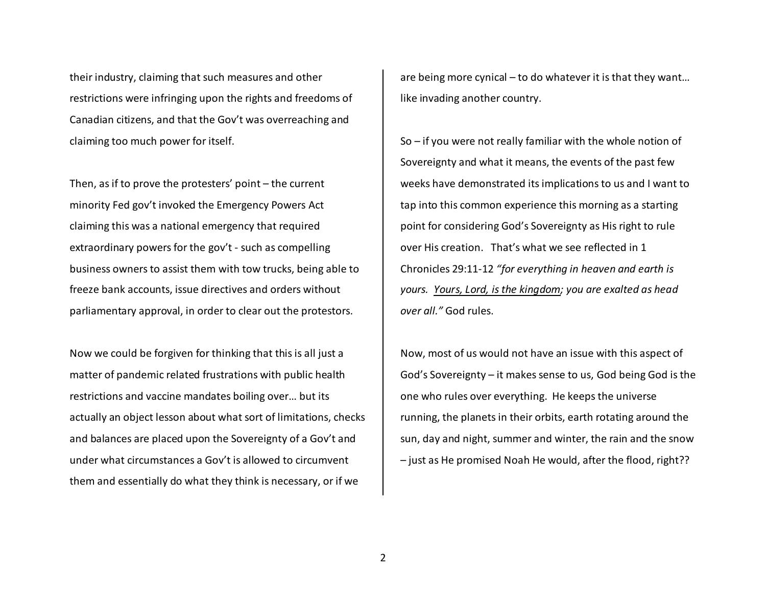their industry, claiming that such measures and other restrictions were infringing upon the rights and freedoms of Canadian citizens, and that the Gov't was overreaching and claiming too much power for itself.

Then, as if to prove the protesters' point – the current minority Fed gov't invoked the Emergency Powers Act claiming this was a national emergency that required extraordinary powers for the gov't - such as compelling business owners to assist them with tow trucks, being able to freeze bank accounts, issue directives and orders without parliamentary approval, in order to clear out the protestors.

Now we could be forgiven for thinking that this is all just a matter of pandemic related frustrations with public health restrictions and vaccine mandates boiling over… but its actually an object lesson about what sort of limitations, checks and balances are placed upon the Sovereignty of a Gov't and under what circumstances a Gov't is allowed to circumvent them and essentially do what they think is necessary, or if we

are being more cynical – to do whatever it is that they want… like invading another country.

So – if you were not really familiar with the whole notion of Sovereignty and what it means, the events of the past few weeks have demonstrated its implications to us and I want to tap into this common experience this morning as a starting point for considering God's Sovereignty as His right to rule over His creation. That's what we see reflected in 1 Chronicles 29:11-12 *"for everything in heaven and earth is yours. Yours, Lord, is the kingdom; you are exalted as head over all."* God rules.

Now, most of us would not have an issue with this aspect of God's Sovereignty – it makes sense to us, God being God is the one who rules over everything. He keeps the universe running, the planets in their orbits, earth rotating around the sun, day and night, summer and winter, the rain and the snow – just as He promised Noah He would, after the flood, right??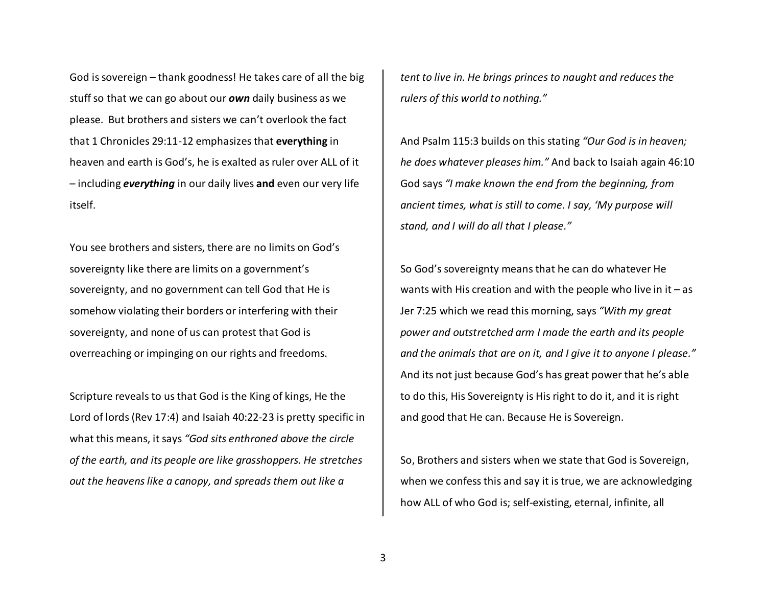God is sovereign – thank goodness! He takes care of all the big stuff so that we can go about our *own* daily business as we please. But brothers and sisters we can't overlook the fact that 1 Chronicles 29:11-12 emphasizes that **everything** in heaven and earth is God's, he is exalted as ruler over ALL of it – including *everything* in our daily lives **and** even our very life itself.

You see brothers and sisters, there are no limits on God's sovereignty like there are limits on a government's sovereignty, and no government can tell God that He is somehow violating their borders or interfering with their sovereignty, and none of us can protest that God is overreaching or impinging on our rights and freedoms.

Scripture reveals to us that God is the King of kings, He the Lord of lords (Rev 17:4) and Isaiah 40:22-23 is pretty specific in what this means, it says *"God sits enthroned above the circle of the earth, and its people are like grasshoppers. He stretches out the heavens like a canopy, and spreads them out like a* 

*tent to live in. He brings princes to naught and reduces the rulers of this world to nothing."* 

And Psalm 115:3 builds on this stating *"Our God is in heaven; he does whatever pleases him."* And back to Isaiah again 46:10 God says *"I make known the end from the beginning, from ancient times, what is still to come. I say, 'My purpose will stand, and I will do all that I please."*

So God's sovereignty means that he can do whatever He wants with His creation and with the people who live in  $it - as$ Jer 7:25 which we read this morning, says *"With my great power and outstretched arm I made the earth and its people and the animals that are on it, and I give it to anyone I please."*And its not just because God's has great power that he's able to do this, His Sovereignty is His right to do it, and it is right and good that He can. Because He is Sovereign.

So, Brothers and sisters when we state that God is Sovereign, when we confess this and say it is true, we are acknowledging how ALL of who God is; self-existing, eternal, infinite, all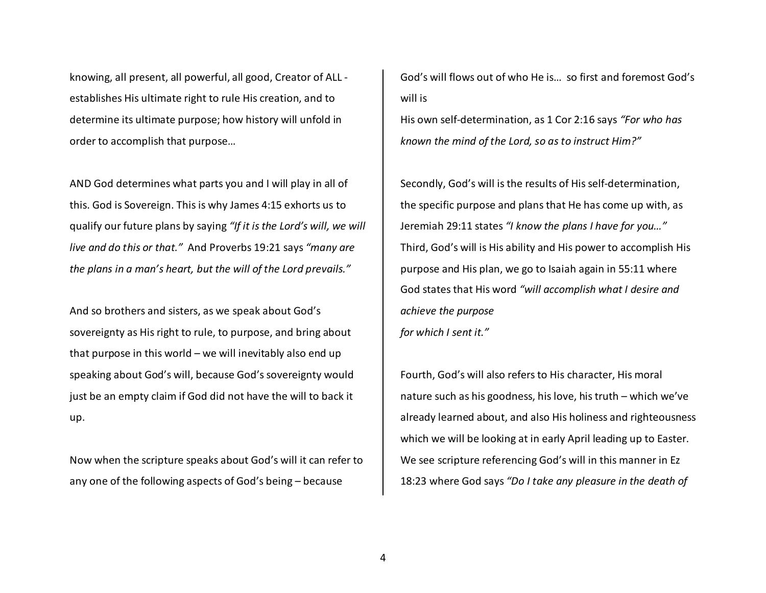knowing, all present, all powerful, all good, Creator of ALL establishes His ultimate right to rule His creation, and to determine its ultimate purpose; how history will unfold in order to accomplish that purpose…

AND God determines what parts you and I will play in all of this. God is Sovereign. This is why James 4:15 exhorts us to qualify our future plans by saying *"If it is the Lord's will, we will live and do this or that."* And Proverbs 19:21 says *"many are the plans in a man's heart, but the will of the Lord prevails."* 

And so brothers and sisters, as we speak about God's sovereignty as His right to rule, to purpose, and bring about that purpose in this world – we will inevitably also end up speaking about God's will, because God's sovereignty would just be an empty claim if God did not have the will to back it up.

Now when the scripture speaks about God's will it can refer to any one of the following aspects of God's being – because

God's will flows out of who He is… so first and foremost God's will is

His own self-determination, as 1 Cor 2:16 says *"For who has known the mind of the Lord, so as to instruct Him?"*

Secondly, God's will is the results of His self-determination, the specific purpose and plans that He has come up with, as Jeremiah 29:11 states *"I know the plans I have for you…"*Third, God's will is His ability and His power to accomplish His purpose and His plan, we go to Isaiah again in 55:11 where God states that His word *"will accomplish what I desire and achieve the purpose for which I sent it."*

Fourth, God's will also refers to His character, His moral nature such as his goodness, his love, his truth – which we've already learned about, and also His holiness and righteousness which we will be looking at in early April leading up to Easter. We see scripture referencing God's will in this manner in Ez 18:23 where God says *"Do I take any pleasure in the death of*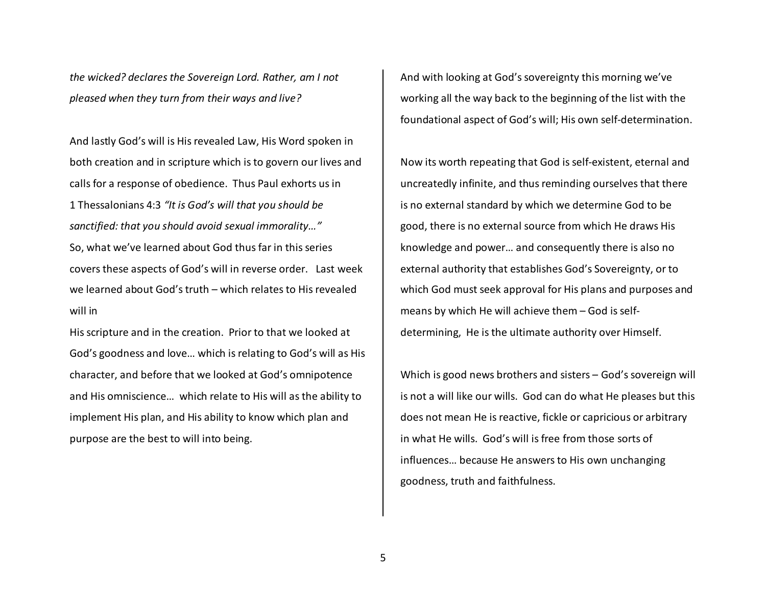*the wicked? declares the Sovereign Lord. Rather, am I not pleased when they turn from their ways and live?*

And lastly God's will is His revealed Law, His Word spoken in both creation and in scripture which is to govern our lives and calls for a response of obedience. Thus Paul exhorts us in 1 Thessalonians 4:3 *"It is God's will that you should be sanctified: that you should avoid sexual immorality…"*So, what we've learned about God thus far in this series covers these aspects of God's will in reverse order. Last week we learned about God's truth – which relates to His revealed will in

His scripture and in the creation. Prior to that we looked at God's goodness and love… which is relating to God's will as His character, and before that we looked at God's omnipotence and His omniscience… which relate to His will as the ability to implement His plan, and His ability to know which plan and purpose are the best to will into being.

And with looking at God's sovereignty this morning we've working all the way back to the beginning of the list with the foundational aspect of God's will; His own self-determination.

Now its worth repeating that God is self-existent, eternal and uncreatedly infinite, and thus reminding ourselves that there is no external standard by which we determine God to be good, there is no external source from which He draws His knowledge and power… and consequently there is also no external authority that establishes God's Sovereignty, or to which God must seek approval for His plans and purposes and means by which He will achieve them – God is selfdetermining, He is the ultimate authority over Himself.

Which is good news brothers and sisters – God's sovereign will is not a will like our wills. God can do what He pleases but this does not mean He is reactive, fickle or capricious or arbitrary in what He wills. God's will is free from those sorts of influences… because He answers to His own unchanging goodness, truth and faithfulness.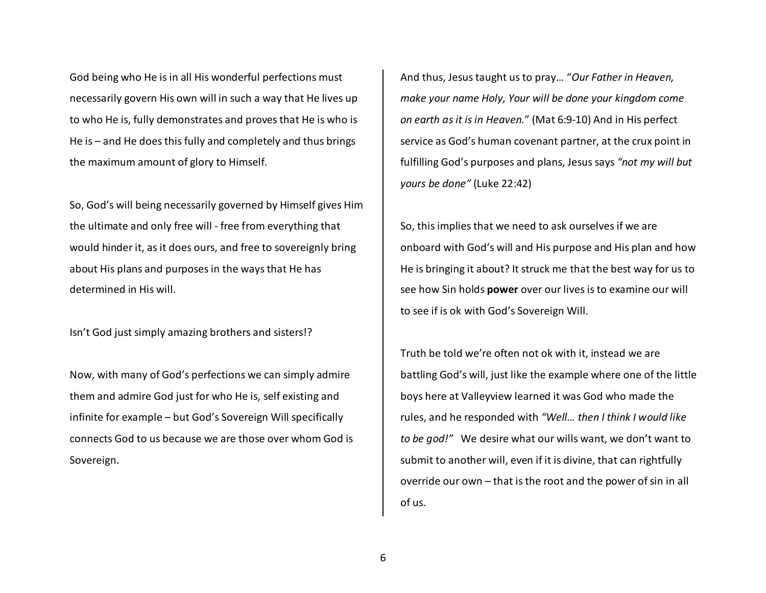God being who He is in all His wonderful perfections must necessarily govern His own will in such a way that He lives up to who He is, fully demonstrates and proves that He is who is He is – and He does this fully and completely and thus brings the maximum amount of glory to Himself.

So, God's will being necessarily governed by Himself gives Him the ultimate and only free will - free from everything that would hinder it, as it does ours, and free to sovereignly bring about His plans and purposes in the ways that He has determined in His will.

Isn't God just simply amazing brothers and sisters!?

Now, with many of God's perfections we can simply admire them and admire God just for who He is, self existing and infinite for example – but God's Sovereign Will specifically connects God to us because we are those over whom God is Sovereign.

And thus, Jesus taught us to pray… "*Our Father in Heaven, make your name Holy, Your will be done your kingdom come on earth as it is in Heaven.*" (Mat 6:9-10) And in His perfect service as God's human covenant partner, at the crux point in fulfilling God's purposes and plans, Jesus says *"not my will but yours be done"* (Luke 22:42)

So, this implies that we need to ask ourselves if we are onboard with God's will and His purpose and His plan and how He is bringing it about? It struck me that the best way for us to see how Sin holds **power** over our lives is to examine our will to see if is ok with God's Sovereign Will.

Truth be told we're often not ok with it, instead we are battling God's will, just like the example where one of the little boys here at Valleyview learned it was God who made the rules, and he responded with *"Well… then I think I would like to be god!"* We desire what our wills want, we don't want to submit to another will, even if it is divine, that can rightfully override our own – that is the root and the power of sin in all of us.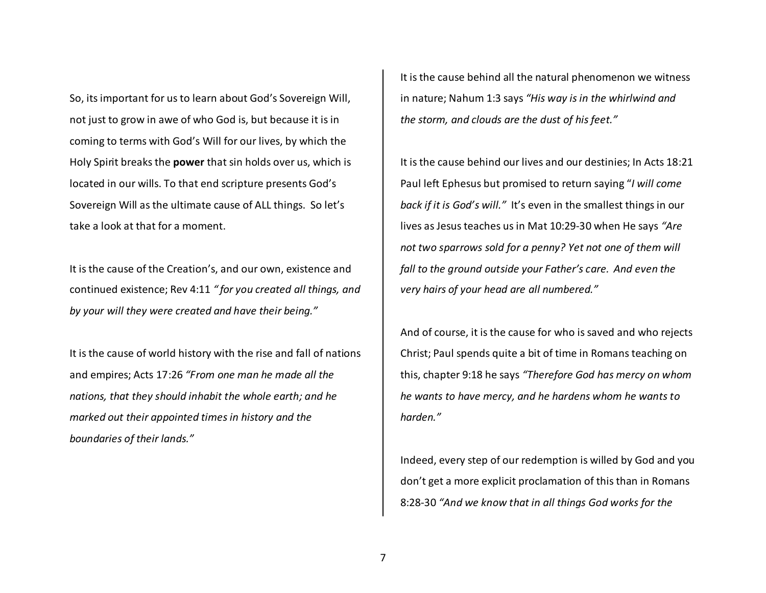So, its important for us to learn about God's Sovereign Will, not just to grow in awe of who God is, but because it is in coming to terms with God's Will for our lives, by which the Holy Spirit breaks the **power** that sin holds over us, which is located in our wills. To that end scripture presents God's Sovereign Will as the ultimate cause of ALL things. So let's take a look at that for a moment.

It is the cause of the Creation's, and our own, existence and continued existence; Rev 4:11 *" for you created all things, and by your will they were created and have their being."* 

It is the cause of world history with the rise and fall of nations and empires; Acts 17:26 *"From one man he made all the nations, that they should inhabit the whole earth; and he marked out their appointed times in history and theboundaries of their lands."* 

It is the cause behind all the natural phenomenon we witness in nature; Nahum 1:3 says *"His way is in the whirlwind and the storm, and clouds are the dust of his feet."* 

It is the cause behind our lives and our destinies; In Acts 18:21 Paul left Ephesus but promised to return saying "*I will come back if it is God's will."* It's even in the smallest things in our lives as Jesus teaches us in Mat 10:29-30 when He says *"Are not two sparrows sold for a penny? Yet not one of them will fall to the ground outside your Father's care. And even the very hairs of your head are all numbered."*

And of course, it is the cause for who is saved and who rejects Christ; Paul spends quite a bit of time in Romans teaching on this, chapter 9:18 he says *"Therefore God has mercy on whom he wants to have mercy, and he hardens whom he wants to harden."* 

Indeed, every step of our redemption is willed by God and you don't get a more explicit proclamation of this than in Romans 8:28-30 *"And we know that in all things God works for the*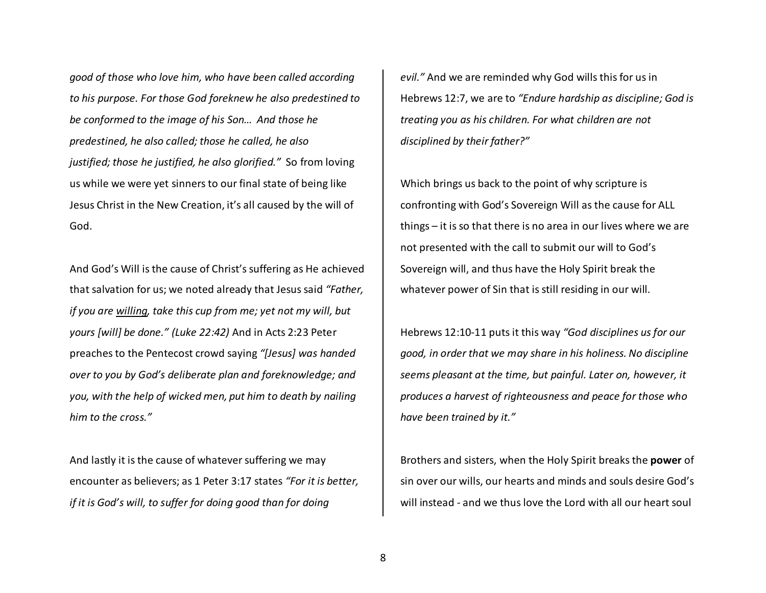*good of those who love him, who have been called according to his purpose. For those God foreknew he also predestined to be conformed to the image of his Son… And those he predestined, he also called; those he called, he also justified; those he justified, he also glorified."* So from loving us while we were yet sinners to our final state of being like Jesus Christ in the New Creation, it's all caused by the will of God.

And God's Will is the cause of Christ's suffering as He achieved that salvation for us; we noted already that Jesus said *"Father, if you are willing, take this cup from me; yet not my will, but yours [will] be done." (Luke 22:42)* And in Acts 2:23 Peter preaches to the Pentecost crowd saying *"[Jesus] was handed over to you by God's deliberate plan and foreknowledge; and you, with the help of wicked men, put him to death by nailing him to the cross."* 

And lastly it is the cause of whatever suffering we may encounter as believers; as 1 Peter 3:17 states *"For it is better, if it is God's will, to suffer for doing good than for doing* 

*evil."* And we are reminded why God wills this for us in Hebrews 12:7, we are to *"Endure hardship as discipline; God is treating you as his children. For what children are not disciplined by their father?"*

Which brings us back to the point of why scripture is confronting with God's Sovereign Will as the cause for ALL things – it is so that there is no area in our lives where we are not presented with the call to submit our will to God's Sovereign will, and thus have the Holy Spirit break the whatever power of Sin that is still residing in our will.

Hebrews 12:10-11 puts it this way *"God disciplines us for our good, in order that we may share in his holiness. No discipline seems pleasant at the time, but painful. Later on, however, it produces a harvest of righteousness and peace for those who have been trained by it."*

Brothers and sisters, when the Holy Spirit breaks the **power** of sin over our wills, our hearts and minds and souls desire God's will instead - and we thus love the Lord with all our heart soul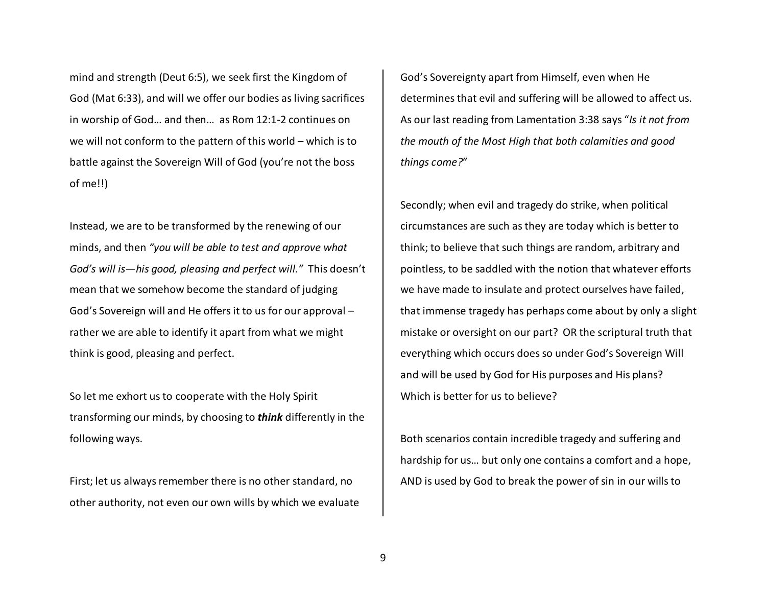mind and strength (Deut 6:5), we seek first the Kingdom of God (Mat 6:33), and will we offer our bodies as living sacrifices in worship of God… and then… as Rom 12:1-2 continues on we will not conform to the pattern of this world – which is to battle against the Sovereign Will of God (you're not the boss of me!!)

Instead, we are to be transformed by the renewing of our minds, and then *"you will be able to test and approve what God's will is—his good, pleasing and perfect will."* This doesn't mean that we somehow become the standard of judgingGod's Sovereign will and He offers it to us for our approval – rather we are able to identify it apart from what we might think is good, pleasing and perfect.

So let me exhort us to cooperate with the Holy Spirit transforming our minds, by choosing to *think* differently in the following ways.

First; let us always remember there is no other standard, no other authority, not even our own wills by which we evaluate

God's Sovereignty apart from Himself, even when He determines that evil and suffering will be allowed to affect us. As our last reading from Lamentation 3:38 says "*Is it not from the mouth of the Most High that both calamities and good things come?*"

Secondly; when evil and tragedy do strike, when political circumstances are such as they are today which is better to think; to believe that such things are random, arbitrary and pointless, to be saddled with the notion that whatever efforts we have made to insulate and protect ourselves have failed, that immense tragedy has perhaps come about by only a slight mistake or oversight on our part? OR the scriptural truth that everything which occurs does so under God's Sovereign Will and will be used by God for His purposes and His plans? Which is better for us to believe?

Both scenarios contain incredible tragedy and suffering and hardship for us… but only one contains a comfort and a hope, AND is used by God to break the power of sin in our wills to